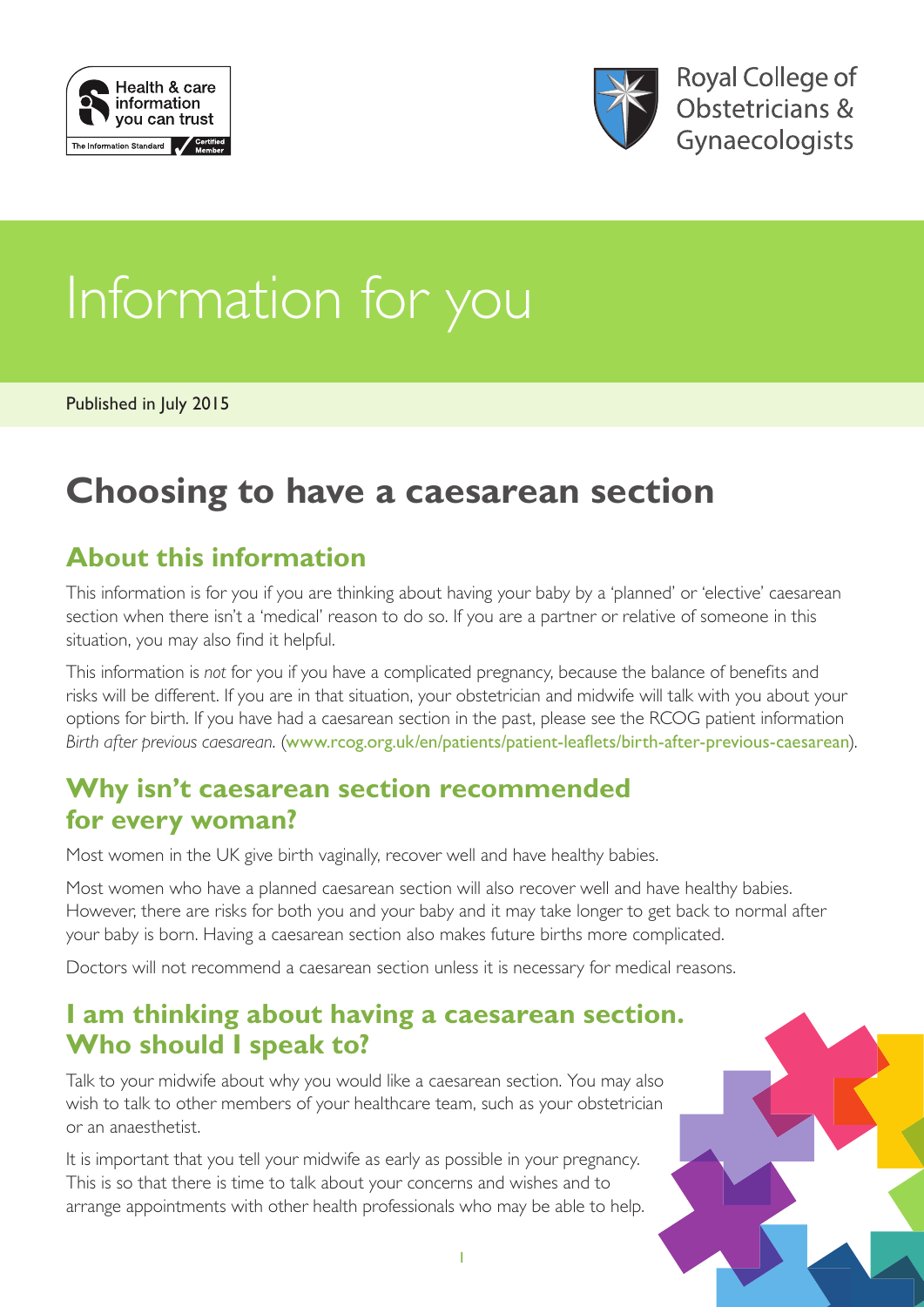



# Information for you

Published in July 2015

## **Choosing to have a caesarean section**

#### **About this information**

This information is for you if you are thinking about having your baby by a 'planned' or 'elective' caesarean section when there isn't a 'medical' reason to do so. If you are a partner or relative of someone in this situation, you may also find it helpful.

This information is *not* for you if you have a complicated pregnancy, because the balance of benefits and risks will be different. If you are in that situation, your obstetrician and midwife will talk with you about your options for birth. If you have had a caesarean section in the past, please see the RCOG patient information *Birth after previous caesarean*. ([www.rcog.org.uk/en/patients/patient-leaflets/birth-after-previous-caesarean](https://www.rcog.org.uk/en/patients/patient-leaflets/birth-after-previous-caesarean/)).

#### **Why isn't caesarean section recommended for every woman?**

Most women in the UK give birth vaginally, recover well and have healthy babies.

Most women who have a planned caesarean section will also recover well and have healthy babies. However, there are risks for both you and your baby and it may take longer to get back to normal after your baby is born. Having a caesarean section also makes future births more complicated.

Doctors will not recommend a caesarean section unless it is necessary for medical reasons.

#### **I am thinking about having a caesarean section. Who should I speak to?**

Talk to your midwife about why you would like a caesarean section. You may also wish to talk to other members of your healthcare team, such as your obstetrician or an anaesthetist.

It is important that you tell your midwife as early as possible in your pregnancy. This is so that there is time to talk about your concerns and wishes and to arrange appointments with other health professionals who may be able to help.

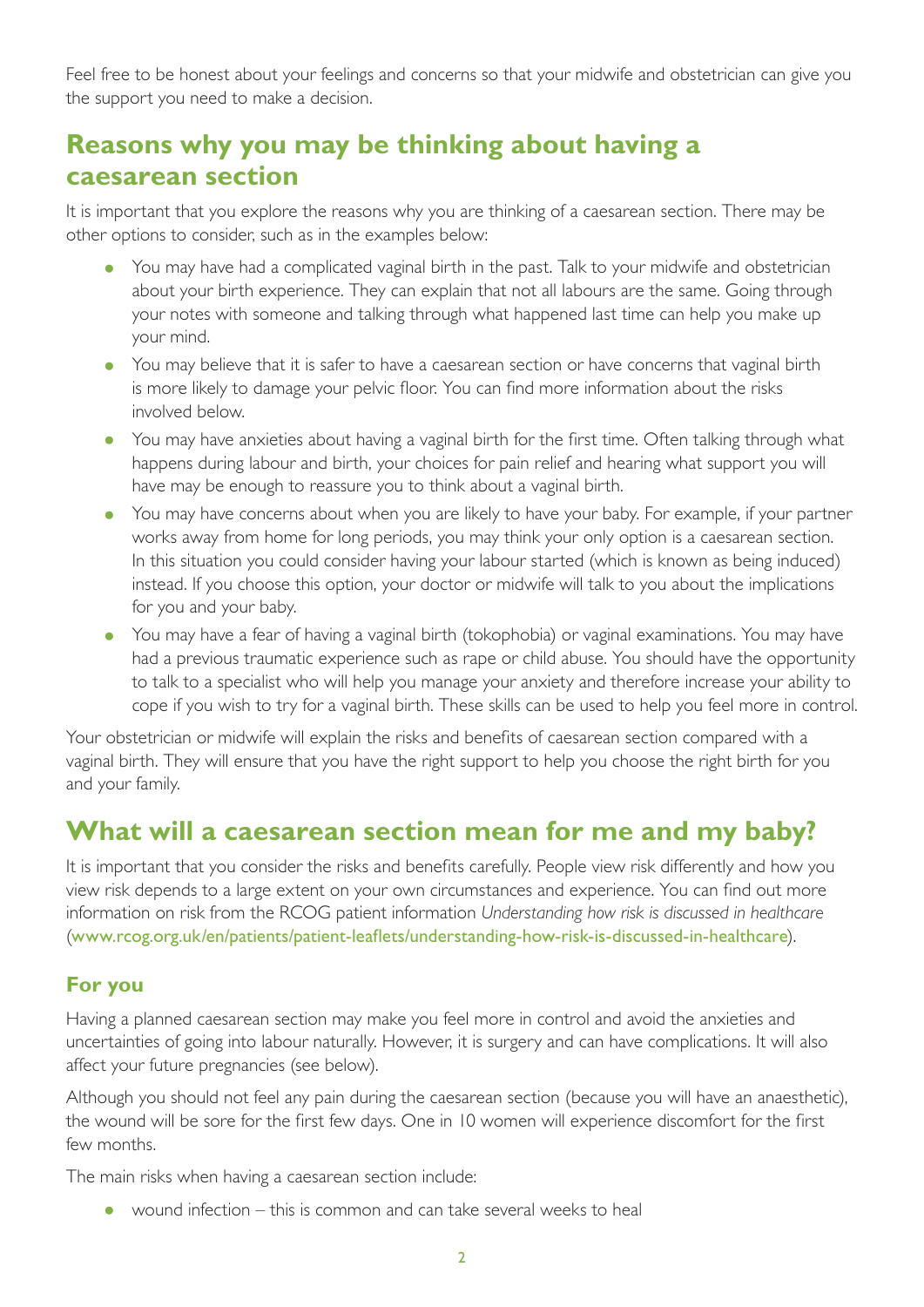Feel free to be honest about your feelings and concerns so that your midwife and obstetrician can give you the support you need to make a decision.

#### **Reasons why you may be thinking about having a caesarean section**

It is important that you explore the reasons why you are thinking of a caesarean section. There may be other options to consider, such as in the examples below:

- You may have had a complicated vaginal birth in the past. Talk to your midwife and obstetrician about your birth experience. They can explain that not all labours are the same. Going through your notes with someone and talking through what happened last time can help you make up your mind.
- You may believe that it is safer to have a caesarean section or have concerns that vaginal birth is more likely to damage your pelvic floor. You can find more information about the risks involved below.
- You may have anxieties about having a vaginal birth for the first time. Often talking through what happens during labour and birth, your choices for pain relief and hearing what support you will have may be enough to reassure you to think about a vaginal birth.
- You may have concerns about when you are likely to have your baby. For example, if your partner works away from home for long periods, you may think your only option is a caesarean section. In this situation you could consider having your labour started (which is known as being induced) instead. If you choose this option, your doctor or midwife will talk to you about the implications for you and your baby.
- You may have a fear of having a vaginal birth (tokophobia) or vaginal examinations. You may have had a previous traumatic experience such as rape or child abuse. You should have the opportunity to talk to a specialist who will help you manage your anxiety and therefore increase your ability to cope if you wish to try for a vaginal birth. These skills can be used to help you feel more in control.

Your obstetrician or midwife will explain the risks and benefits of caesarean section compared with a vaginal birth. They will ensure that you have the right support to help you choose the right birth for you and your family.

#### **What will a caesarean section mean for me and my baby?**

It is important that you consider the risks and benefits carefully. People view risk differently and how you view risk depends to a large extent on your own circumstances and experience. You can find out more information on risk from the RCOG patient information *Understanding how risk is discussed in healthcare* ([www.rcog.org.uk/en/patients/patient-leaflets/understanding-how-risk-is-discussed-in-healthcare](https://www.rcog.org.uk/en/patients/patient-leaflets/understanding-how-risk-is-discussed-in-healthcare/)).

#### **For you**

Having a planned caesarean section may make you feel more in control and avoid the anxieties and uncertainties of going into labour naturally. However, it is surgery and can have complications. It will also affect your future pregnancies (see below).

Although you should not feel any pain during the caesarean section (because you will have an anaesthetic), the wound will be sore for the first few days. One in 10 women will experience discomfort for the first few months.

The main risks when having a caesarean section include:

• wound infection  $-$  this is common and can take several weeks to heal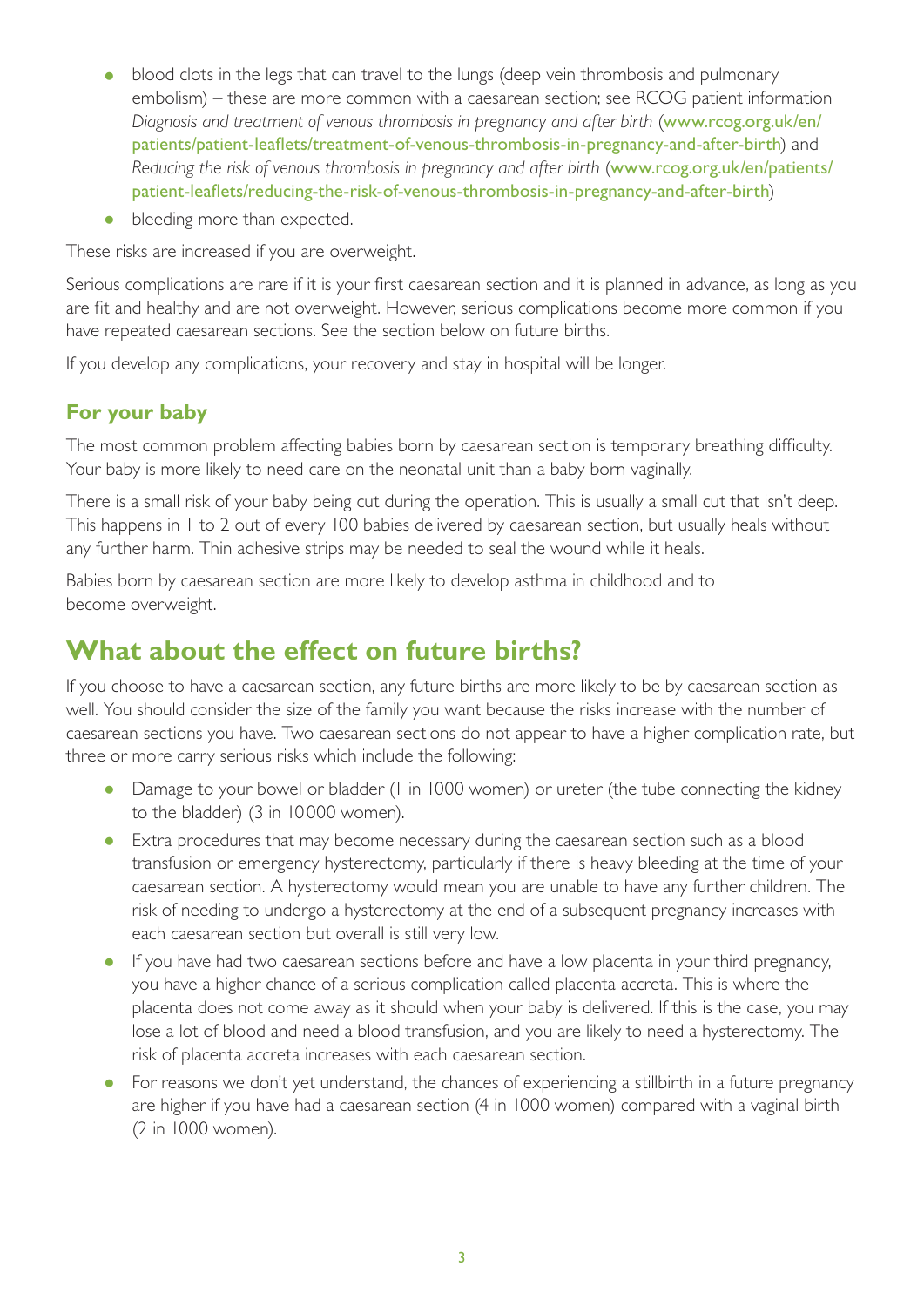- blood clots in the legs that can travel to the lungs (deep vein thrombosis and pulmonary embolism) – these are more common with a caesarean section; see RCOG patient information *Diagnosis and treatment of venous thrombosis in pregnancy and after birth* ([www.rcog.org.uk/en/](https://www.rcog.org.uk/en/patients/patient-leaflets/treatment-of-venous-thrombosis-in-pregnancy-and-after-birth/) [patients/patient-leaflets/treatment-of-venous-thrombosis-in-pregnancy-and-after-birth](https://www.rcog.org.uk/en/patients/patient-leaflets/treatment-of-venous-thrombosis-in-pregnancy-and-after-birth/)) and *Reducing the risk of venous thrombosis in pregnancy and after birth* ([www.rcog.org.uk/en/patients/](https://www.rcog.org.uk/en/patients/patient-leaflets/reducing-the-risk-of-venous-thrombosis-in-pregnancy-and-after-birth/) [patient-leaflets/reducing-the-risk-of-venous-thrombosis-in-pregnancy-and-after-birth](https://www.rcog.org.uk/en/patients/patient-leaflets/reducing-the-risk-of-venous-thrombosis-in-pregnancy-and-after-birth/))
- bleeding more than expected.

These risks are increased if you are overweight.

Serious complications are rare if it is your first caesarean section and it is planned in advance, as long as you are fit and healthy and are not overweight. However, serious complications become more common if you have repeated caesarean sections. See the section below on future births.

If you develop any complications, your recovery and stay in hospital will be longer.

#### **For your baby**

The most common problem affecting babies born by caesarean section is temporary breathing difficulty. Your baby is more likely to need care on the neonatal unit than a baby born vaginally.

There is a small risk of your baby being cut during the operation. This is usually a small cut that isn't deep. This happens in 1 to 2 out of every 100 babies delivered by caesarean section, but usually heals without any further harm. Thin adhesive strips may be needed to seal the wound while it heals.

Babies born by caesarean section are more likely to develop asthma in childhood and to become overweight.

#### **What about the effect on future births?**

If you choose to have a caesarean section, any future births are more likely to be by caesarean section as well. You should consider the size of the family you want because the risks increase with the number of caesarean sections you have. Two caesarean sections do not appear to have a higher complication rate, but three or more carry serious risks which include the following:

- Damage to your bowel or bladder (I in 1000 women) or ureter (the tube connecting the kidney to the bladder) (3 in 10 000 women).
- Extra procedures that may become necessary during the caesarean section such as a blood transfusion or emergency hysterectomy, particularly if there is heavy bleeding at the time of your caesarean section. A hysterectomy would mean you are unable to have any further children. The risk of needing to undergo a hysterectomy at the end of a subsequent pregnancy increases with each caesarean section but overall is still very low.
- If you have had two caesarean sections before and have a low placenta in your third pregnancy, you have a higher chance of a serious complication called placenta accreta. This is where the placenta does not come away as it should when your baby is delivered. If this is the case, you may lose a lot of blood and need a blood transfusion, and you are likely to need a hysterectomy. The risk of placenta accreta increases with each caesarean section.
- For reasons we don't yet understand, the chances of experiencing a stillbirth in a future pregnancy are higher if you have had a caesarean section (4 in 1000 women) compared with a vaginal birth (2 in 1000 women).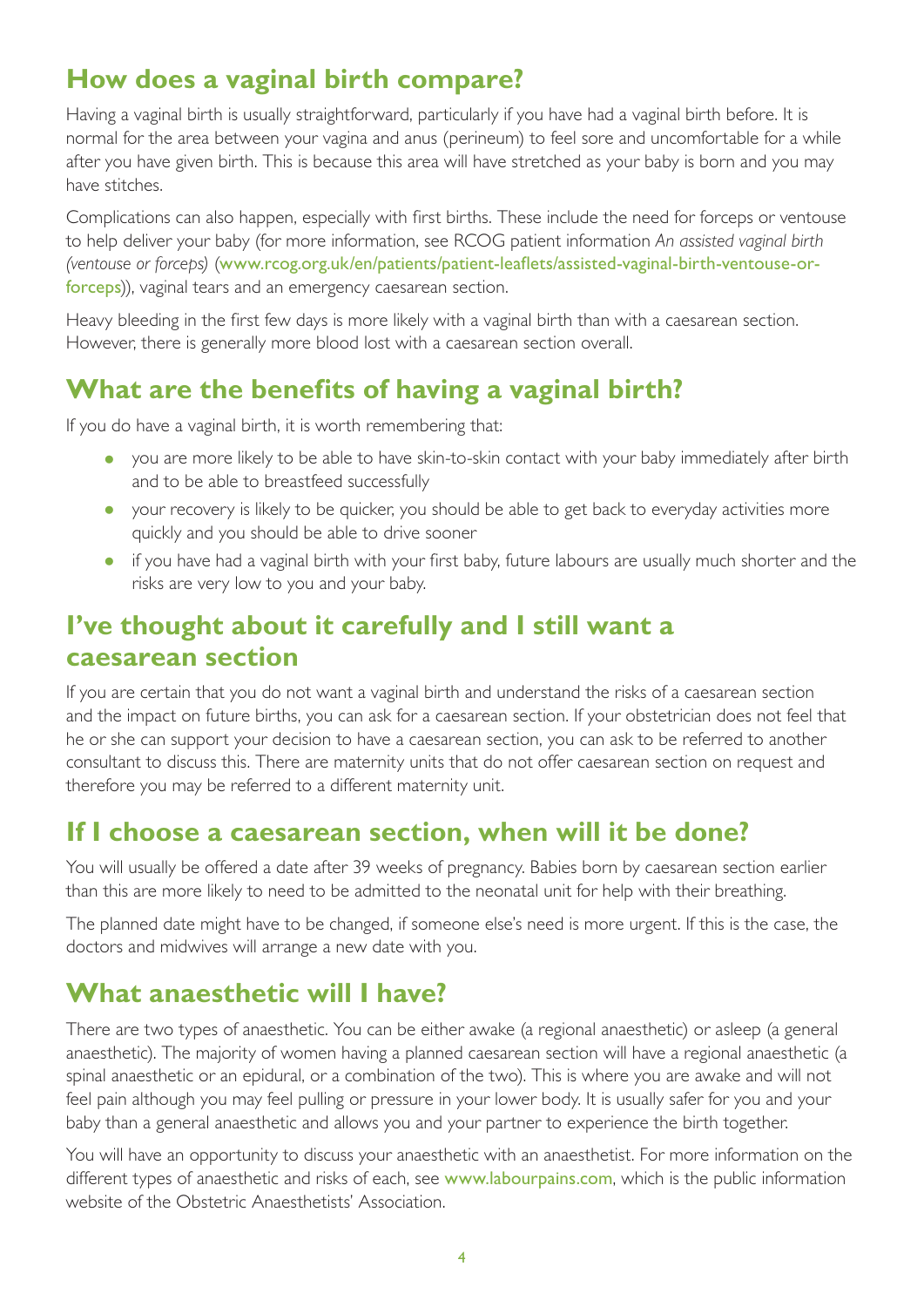### **How does a vaginal birth compare?**

Having a vaginal birth is usually straightforward, particularly if you have had a vaginal birth before. It is normal for the area between your vagina and anus (perineum) to feel sore and uncomfortable for a while after you have given birth. This is because this area will have stretched as your baby is born and you may have stitches.

Complications can also happen, especially with first births. These include the need for forceps or ventouse to help deliver your baby (for more information, see RCOG patient information *An assisted vaginal birth (ventouse or forceps)* ([www.rcog.org.uk/en/patients/patient-leaflets/assisted-vaginal-birth-ventouse-or](https://www.rcog.org.uk/en/patients/patient-leaflets/assisted-vaginal-birth-ventouse-or-forceps/)[forceps](https://www.rcog.org.uk/en/patients/patient-leaflets/assisted-vaginal-birth-ventouse-or-forceps/))), vaginal tears and an emergency caesarean section.

Heavy bleeding in the first few days is more likely with a vaginal birth than with a caesarean section. However, there is generally more blood lost with a caesarean section overall.

#### **What are the benefits of having a vaginal birth?**

If you do have a vaginal birth, it is worth remembering that:

- you are more likely to be able to have skin-to-skin contact with your baby immediately after birth and to be able to breastfeed successfully
- your recovery is likely to be quicker, you should be able to get back to everyday activities more quickly and you should be able to drive sooner
- if you have had a vaginal birth with your first baby, future labours are usually much shorter and the risks are very low to you and your baby.

#### **I've thought about it carefully and I still want a caesarean section**

If you are certain that you do not want a vaginal birth and understand the risks of a caesarean section and the impact on future births, you can ask for a caesarean section. If your obstetrician does not feel that he or she can support your decision to have a caesarean section, you can ask to be referred to another consultant to discuss this. There are maternity units that do not offer caesarean section on request and therefore you may be referred to a different maternity unit.

#### **If I choose a caesarean section, when will it be done?**

You will usually be offered a date after 39 weeks of pregnancy. Babies born by caesarean section earlier than this are more likely to need to be admitted to the neonatal unit for help with their breathing.

The planned date might have to be changed, if someone else's need is more urgent. If this is the case, the doctors and midwives will arrange a new date with you.

#### **What anaesthetic will I have?**

There are two types of anaesthetic. You can be either awake (a regional anaesthetic) or asleep (a general anaesthetic). The majority of women having a planned caesarean section will have a regional anaesthetic (a spinal anaesthetic or an epidural, or a combination of the two). This is where you are awake and will not feel pain although you may feel pulling or pressure in your lower body. It is usually safer for you and your baby than a general anaesthetic and allows you and your partner to experience the birth together.

You will have an opportunity to discuss your anaesthetic with an anaesthetist. For more information on the different types of anaesthetic and risks of each, see [www.labourpains.com](http://www.labourpains.com), which is the public information website of the Obstetric Anaesthetists' Association.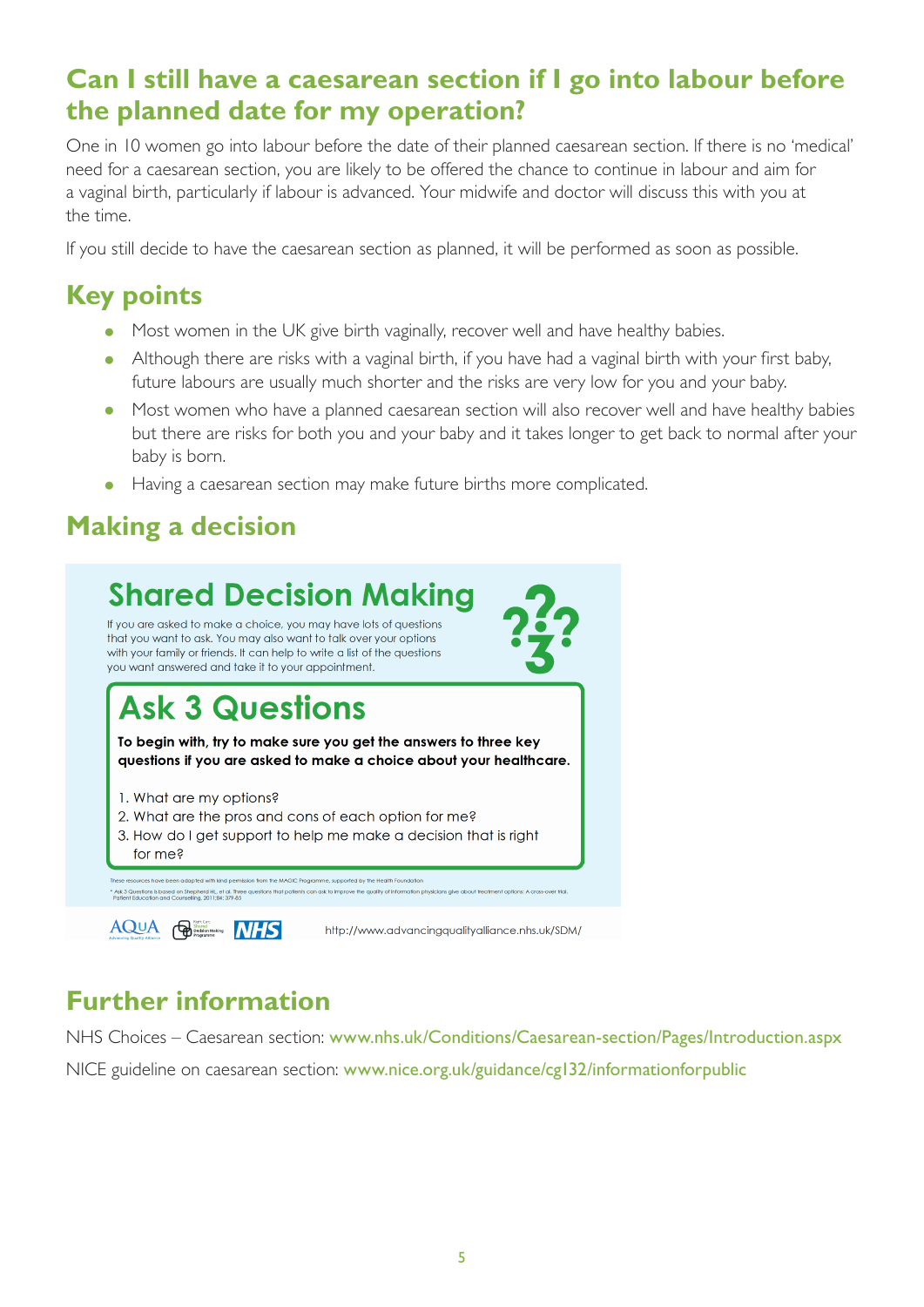#### **Can I still have a caesarean section if I go into labour before the planned date for my operation?**

One in 10 women go into labour before the date of their planned caesarean section. lf there is no 'medical' need for a caesarean section, you are likely to be offered the chance to continue in labour and aim for a vaginal birth, particularly if labour is advanced. Your midwife and doctor will discuss this with you at the time.

If you still decide to have the caesarean section as planned, it will be performed as soon as possible.

## **Key points**

- Most women in the UK give birth vaginally, recover well and have healthy babies.
- Although there are risks with a vaginal birth, if you have had a vaginal birth with your first baby, future labours are usually much shorter and the risks are very low for you and your baby.
- Most women who have a planned caesarean section will also recover well and have healthy babies but there are risks for both you and your baby and it takes longer to get back to normal after your baby is born.
- Having a caesarean section may make future births more complicated.

### **Making a decision**



## **Further information**

NHS Choices – Caesarean section: [www.nhs.uk/Conditions/Caesarean-section/Pages/Introduction.aspx](http://www.nhs.uk/Conditions/Caesarean-section/Pages/Introduction.aspx) NICE guideline on caesarean section: [www.nice.org.uk/guidance/cg132/informationforpublic](http://www.nice.org.uk/guidance/cg132/informationforpublic)